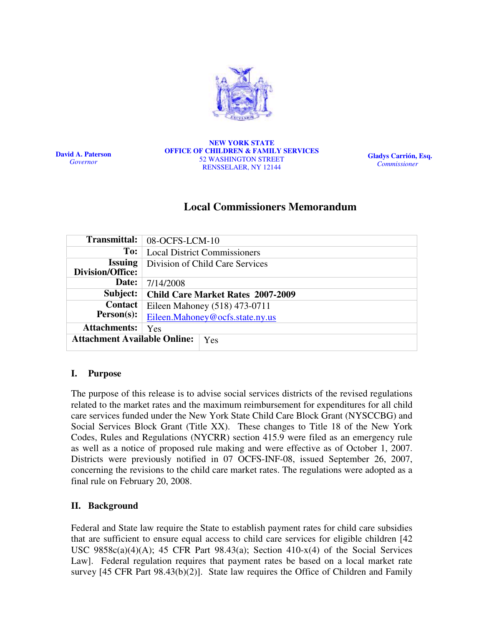

David A. Paterson Governor

#### NEW YORK STATE OFFICE OF CHILDREN & FAMILY SERVICES 52 WASHINGTON STREET RENSSELAER, NY 12144

Gladys Carrión, Esq. Commissioner

# Local Commissioners Memorandum

| <b>Transmittal:</b>                 | 08-OCFS-LCM-10                           |
|-------------------------------------|------------------------------------------|
| To:                                 | <b>Local District Commissioners</b>      |
| <b>Issuing</b>                      | Division of Child Care Services          |
| Division/Office:                    |                                          |
| Date:                               | 7/14/2008                                |
| Subject:                            | <b>Child Care Market Rates 2007-2009</b> |
| <b>Contact</b>                      | Eileen Mahoney (518) 473-0711            |
| $Person(s)$ :                       | Eileen.Mahoney@ocfs.state.ny.us          |
| <b>Attachments:</b>                 | <b>Yes</b>                               |
| <b>Attachment Available Online:</b> | Yes                                      |
|                                     |                                          |

## I. Purpose

The purpose of this release is to advise social services districts of the revised regulations related to the market rates and the maximum reimbursement for expenditures for all child care services funded under the New York State Child Care Block Grant (NYSCCBG) and Social Services Block Grant (Title XX). These changes to Title 18 of the New York Codes, Rules and Regulations (NYCRR) section 415.9 were filed as an emergency rule as well as a notice of proposed rule making and were effective as of October 1, 2007. Districts were previously notified in 07 OCFS-INF-08, issued September 26, 2007, concerning the revisions to the child care market rates. The regulations were adopted as a final rule on February 20, 2008.

## II. Background

Federal and State law require the State to establish payment rates for child care subsidies that are sufficient to ensure equal access to child care services for eligible children [42 USC  $9858c(a)(4)(A);$  45 CFR Part  $98.43(a);$  Section  $410-x(4)$  of the Social Services Law]. Federal regulation requires that payment rates be based on a local market rate survey [45 CFR Part 98.43(b)(2)]. State law requires the Office of Children and Family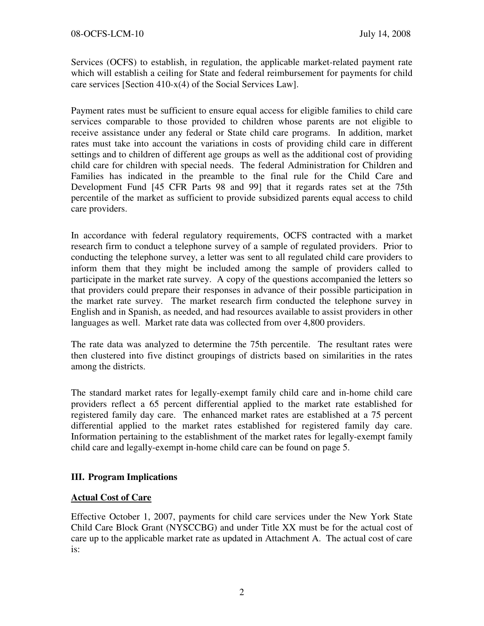Services (OCFS) to establish, in regulation, the applicable market-related payment rate which will establish a ceiling for State and federal reimbursement for payments for child care services [Section 410-x(4) of the Social Services Law].

Payment rates must be sufficient to ensure equal access for eligible families to child care services comparable to those provided to children whose parents are not eligible to receive assistance under any federal or State child care programs. In addition, market rates must take into account the variations in costs of providing child care in different settings and to children of different age groups as well as the additional cost of providing child care for children with special needs. The federal Administration for Children and Families has indicated in the preamble to the final rule for the Child Care and Development Fund [45 CFR Parts 98 and 99] that it regards rates set at the 75th percentile of the market as sufficient to provide subsidized parents equal access to child care providers.

In accordance with federal regulatory requirements, OCFS contracted with a market research firm to conduct a telephone survey of a sample of regulated providers. Prior to conducting the telephone survey, a letter was sent to all regulated child care providers to inform them that they might be included among the sample of providers called to participate in the market rate survey. A copy of the questions accompanied the letters so that providers could prepare their responses in advance of their possible participation in the market rate survey. The market research firm conducted the telephone survey in English and in Spanish, as needed, and had resources available to assist providers in other languages as well. Market rate data was collected from over 4,800 providers.

The rate data was analyzed to determine the 75th percentile. The resultant rates were then clustered into five distinct groupings of districts based on similarities in the rates among the districts.

The standard market rates for legally-exempt family child care and in-home child care providers reflect a 65 percent differential applied to the market rate established for registered family day care. The enhanced market rates are established at a 75 percent differential applied to the market rates established for registered family day care. Information pertaining to the establishment of the market rates for legally-exempt family child care and legally-exempt in-home child care can be found on page 5.

## III. Program Implications

## Actual Cost of Care

Effective October 1, 2007, payments for child care services under the New York State Child Care Block Grant (NYSCCBG) and under Title XX must be for the actual cost of care up to the applicable market rate as updated in Attachment A. The actual cost of care is: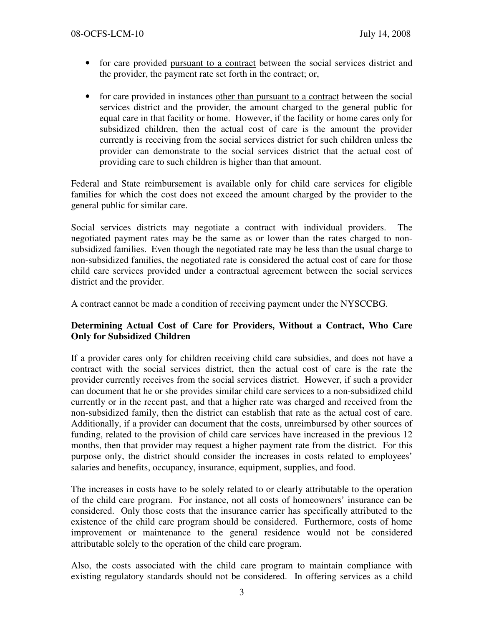- for care provided pursuant to a contract between the social services district and the provider, the payment rate set forth in the contract; or,
- for care provided in instances other than pursuant to a contract between the social services district and the provider, the amount charged to the general public for equal care in that facility or home. However, if the facility or home cares only for subsidized children, then the actual cost of care is the amount the provider currently is receiving from the social services district for such children unless the provider can demonstrate to the social services district that the actual cost of providing care to such children is higher than that amount.

Federal and State reimbursement is available only for child care services for eligible families for which the cost does not exceed the amount charged by the provider to the general public for similar care.

Social services districts may negotiate a contract with individual providers. The negotiated payment rates may be the same as or lower than the rates charged to nonsubsidized families. Even though the negotiated rate may be less than the usual charge to non-subsidized families, the negotiated rate is considered the actual cost of care for those child care services provided under a contractual agreement between the social services district and the provider.

A contract cannot be made a condition of receiving payment under the NYSCCBG.

#### Determining Actual Cost of Care for Providers, Without a Contract, Who Care Only for Subsidized Children

If a provider cares only for children receiving child care subsidies, and does not have a contract with the social services district, then the actual cost of care is the rate the provider currently receives from the social services district. However, if such a provider can document that he or she provides similar child care services to a non-subsidized child currently or in the recent past, and that a higher rate was charged and received from the non-subsidized family, then the district can establish that rate as the actual cost of care. Additionally, if a provider can document that the costs, unreimbursed by other sources of funding, related to the provision of child care services have increased in the previous 12 months, then that provider may request a higher payment rate from the district. For this purpose only, the district should consider the increases in costs related to employees' salaries and benefits, occupancy, insurance, equipment, supplies, and food.

The increases in costs have to be solely related to or clearly attributable to the operation of the child care program. For instance, not all costs of homeowners' insurance can be considered. Only those costs that the insurance carrier has specifically attributed to the existence of the child care program should be considered. Furthermore, costs of home improvement or maintenance to the general residence would not be considered attributable solely to the operation of the child care program.

Also, the costs associated with the child care program to maintain compliance with existing regulatory standards should not be considered. In offering services as a child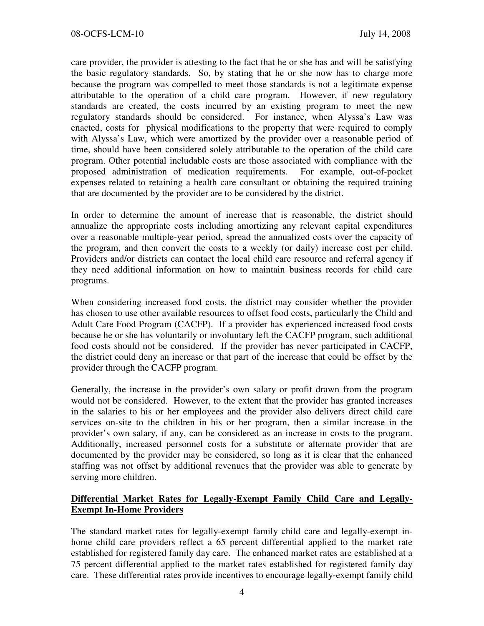care provider, the provider is attesting to the fact that he or she has and will be satisfying the basic regulatory standards. So, by stating that he or she now has to charge more because the program was compelled to meet those standards is not a legitimate expense attributable to the operation of a child care program. However, if new regulatory standards are created, the costs incurred by an existing program to meet the new regulatory standards should be considered. For instance, when Alyssa's Law was enacted, costs for physical modifications to the property that were required to comply with Alyssa's Law, which were amortized by the provider over a reasonable period of time, should have been considered solely attributable to the operation of the child care program. Other potential includable costs are those associated with compliance with the proposed administration of medication requirements. For example, out-of-pocket expenses related to retaining a health care consultant or obtaining the required training that are documented by the provider are to be considered by the district.

In order to determine the amount of increase that is reasonable, the district should annualize the appropriate costs including amortizing any relevant capital expenditures over a reasonable multiple-year period, spread the annualized costs over the capacity of the program, and then convert the costs to a weekly (or daily) increase cost per child. Providers and/or districts can contact the local child care resource and referral agency if they need additional information on how to maintain business records for child care programs.

When considering increased food costs, the district may consider whether the provider has chosen to use other available resources to offset food costs, particularly the Child and Adult Care Food Program (CACFP). If a provider has experienced increased food costs because he or she has voluntarily or involuntary left the CACFP program, such additional food costs should not be considered. If the provider has never participated in CACFP, the district could deny an increase or that part of the increase that could be offset by the provider through the CACFP program.

Generally, the increase in the provider's own salary or profit drawn from the program would not be considered. However, to the extent that the provider has granted increases in the salaries to his or her employees and the provider also delivers direct child care services on-site to the children in his or her program, then a similar increase in the provider's own salary, if any, can be considered as an increase in costs to the program. Additionally, increased personnel costs for a substitute or alternate provider that are documented by the provider may be considered, so long as it is clear that the enhanced staffing was not offset by additional revenues that the provider was able to generate by serving more children.

## Differential Market Rates for Legally-Exempt Family Child Care and Legally-Exempt In-Home Providers

The standard market rates for legally-exempt family child care and legally-exempt inhome child care providers reflect a 65 percent differential applied to the market rate established for registered family day care. The enhanced market rates are established at a 75 percent differential applied to the market rates established for registered family day care. These differential rates provide incentives to encourage legally-exempt family child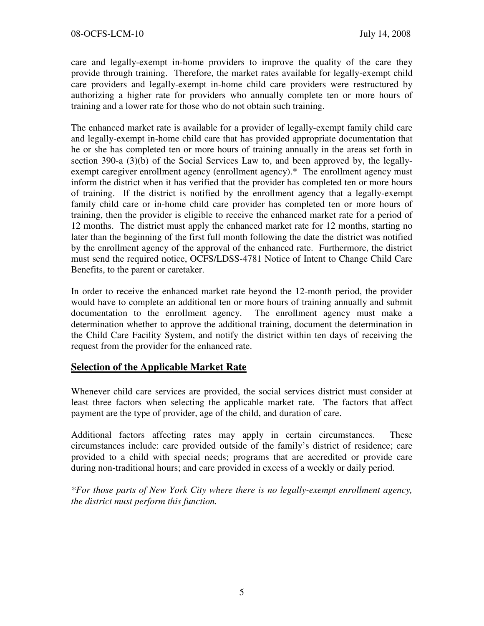care and legally-exempt in-home providers to improve the quality of the care they provide through training. Therefore, the market rates available for legally-exempt child care providers and legally-exempt in-home child care providers were restructured by authorizing a higher rate for providers who annually complete ten or more hours of training and a lower rate for those who do not obtain such training.

The enhanced market rate is available for a provider of legally-exempt family child care and legally-exempt in-home child care that has provided appropriate documentation that he or she has completed ten or more hours of training annually in the areas set forth in section 390-a (3)(b) of the Social Services Law to, and been approved by, the legallyexempt caregiver enrollment agency (enrollment agency).\* The enrollment agency must inform the district when it has verified that the provider has completed ten or more hours of training. If the district is notified by the enrollment agency that a legally-exempt family child care or in-home child care provider has completed ten or more hours of training, then the provider is eligible to receive the enhanced market rate for a period of 12 months. The district must apply the enhanced market rate for 12 months, starting no later than the beginning of the first full month following the date the district was notified by the enrollment agency of the approval of the enhanced rate. Furthermore, the district must send the required notice, OCFS/LDSS-4781 Notice of Intent to Change Child Care Benefits, to the parent or caretaker.

In order to receive the enhanced market rate beyond the 12-month period, the provider would have to complete an additional ten or more hours of training annually and submit documentation to the enrollment agency. The enrollment agency must make a determination whether to approve the additional training, document the determination in the Child Care Facility System, and notify the district within ten days of receiving the request from the provider for the enhanced rate.

## Selection of the Applicable Market Rate

Whenever child care services are provided, the social services district must consider at least three factors when selecting the applicable market rate. The factors that affect payment are the type of provider, age of the child, and duration of care.

 Additional factors affecting rates may apply in certain circumstances. These circumstances include: care provided outside of the family's district of residence; care provided to a child with special needs; programs that are accredited or provide care during non-traditional hours; and care provided in excess of a weekly or daily period.

\*For those parts of New York City where there is no legally-exempt enrollment agency, the district must perform this function.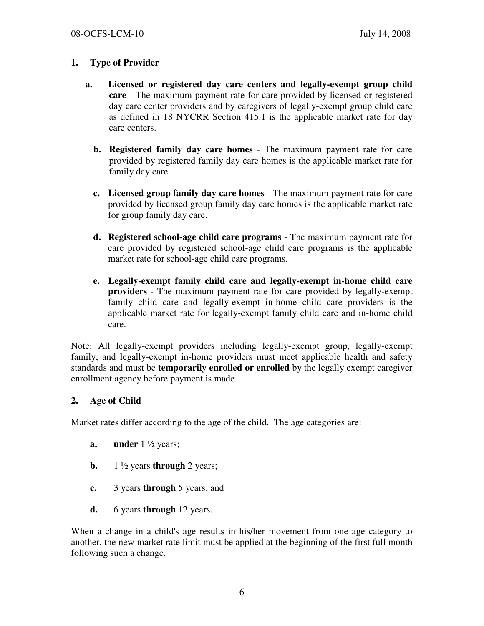## 1. Type of Provider

- a. Licensed or registered day care centers and legally-exempt group child care - The maximum payment rate for care provided by licensed or registered day care center providers and by caregivers of legally-exempt group child care as defined in 18 NYCRR Section 415.1 is the applicable market rate for day care centers.
	- b. Registered family day care homes The maximum payment rate for care provided by registered family day care homes is the applicable market rate for family day care.
	- c. Licensed group family day care homes The maximum payment rate for care provided by licensed group family day care homes is the applicable market rate for group family day care.
	- d. Registered school-age child care programs The maximum payment rate for care provided by registered school-age child care programs is the applicable market rate for school-age child care programs.
	- e. Legally-exempt family child care and legally-exempt in-home child care providers - The maximum payment rate for care provided by legally-exempt family child care and legally-exempt in-home child care providers is the applicable market rate for legally-exempt family child care and in-home child care.

Note: All legally-exempt providers including legally-exempt group, legally-exempt family, and legally-exempt in-home providers must meet applicable health and safety standards and must be **temporarily enrolled or enrolled** by the legally exempt caregiver enrollment agency before payment is made.

## 2. Age of Child

Market rates differ according to the age of the child. The age categories are:

- a. under  $1\frac{1}{2}$  years;
- **b.** 1  $\frac{1}{2}$  years through 2 years;
- c. 3 years through 5 years; and
- d. 6 years through 12 years.

 When a change in a child's age results in his/her movement from one age category to another, the new market rate limit must be applied at the beginning of the first full month following such a change.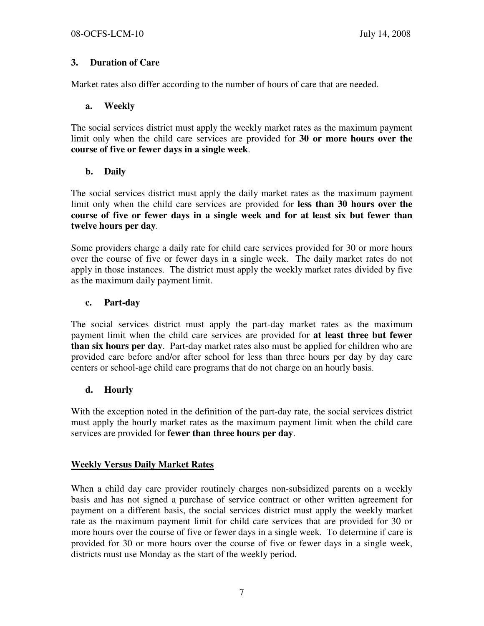## 3. Duration of Care

Market rates also differ according to the number of hours of care that are needed.

#### a. Weekly

The social services district must apply the weekly market rates as the maximum payment limit only when the child care services are provided for 30 or more hours over the course of five or fewer days in a single week.

## b. Daily

 The social services district must apply the daily market rates as the maximum payment limit only when the child care services are provided for less than 30 hours over the course of five or fewer days in a single week and for at least six but fewer than twelve hours per day.

 Some providers charge a daily rate for child care services provided for 30 or more hours over the course of five or fewer days in a single week. The daily market rates do not apply in those instances. The district must apply the weekly market rates divided by five as the maximum daily payment limit.

#### c. Part-day

The social services district must apply the part-day market rates as the maximum payment limit when the child care services are provided for at least three but fewer than six hours per day. Part-day market rates also must be applied for children who are provided care before and/or after school for less than three hours per day by day care centers or school-age child care programs that do not charge on an hourly basis.

## d. Hourly

 With the exception noted in the definition of the part-day rate, the social services district must apply the hourly market rates as the maximum payment limit when the child care services are provided for fewer than three hours per day.

## Weekly Versus Daily Market Rates

 When a child day care provider routinely charges non-subsidized parents on a weekly basis and has not signed a purchase of service contract or other written agreement for payment on a different basis, the social services district must apply the weekly market rate as the maximum payment limit for child care services that are provided for 30 or more hours over the course of five or fewer days in a single week. To determine if care is provided for 30 or more hours over the course of five or fewer days in a single week, districts must use Monday as the start of the weekly period.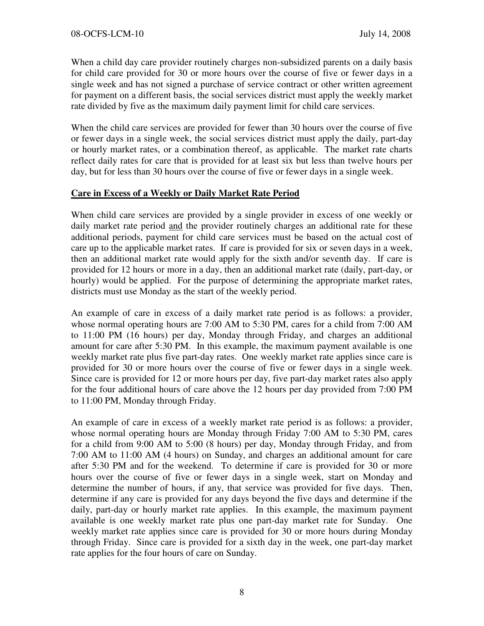When a child day care provider routinely charges non-subsidized parents on a daily basis for child care provided for 30 or more hours over the course of five or fewer days in a single week and has not signed a purchase of service contract or other written agreement for payment on a different basis, the social services district must apply the weekly market rate divided by five as the maximum daily payment limit for child care services.

When the child care services are provided for fewer than 30 hours over the course of five or fewer days in a single week, the social services district must apply the daily, part-day or hourly market rates, or a combination thereof, as applicable. The market rate charts reflect daily rates for care that is provided for at least six but less than twelve hours per day, but for less than 30 hours over the course of five or fewer days in a single week.

#### Care in Excess of a Weekly or Daily Market Rate Period

 When child care services are provided by a single provider in excess of one weekly or daily market rate period and the provider routinely charges an additional rate for these additional periods, payment for child care services must be based on the actual cost of care up to the applicable market rates. If care is provided for six or seven days in a week, then an additional market rate would apply for the sixth and/or seventh day. If care is provided for 12 hours or more in a day, then an additional market rate (daily, part-day, or hourly) would be applied. For the purpose of determining the appropriate market rates, districts must use Monday as the start of the weekly period.

 An example of care in excess of a daily market rate period is as follows: a provider, whose normal operating hours are 7:00 AM to 5:30 PM, cares for a child from 7:00 AM to 11:00 PM (16 hours) per day, Monday through Friday, and charges an additional amount for care after 5:30 PM. In this example, the maximum payment available is one weekly market rate plus five part-day rates. One weekly market rate applies since care is provided for 30 or more hours over the course of five or fewer days in a single week. Since care is provided for 12 or more hours per day, five part-day market rates also apply for the four additional hours of care above the 12 hours per day provided from 7:00 PM to 11:00 PM, Monday through Friday.

 An example of care in excess of a weekly market rate period is as follows: a provider, whose normal operating hours are Monday through Friday 7:00 AM to 5:30 PM, cares for a child from 9:00 AM to 5:00 (8 hours) per day, Monday through Friday, and from 7:00 AM to 11:00 AM (4 hours) on Sunday, and charges an additional amount for care after 5:30 PM and for the weekend. To determine if care is provided for 30 or more hours over the course of five or fewer days in a single week, start on Monday and determine the number of hours, if any, that service was provided for five days. Then, determine if any care is provided for any days beyond the five days and determine if the daily, part-day or hourly market rate applies. In this example, the maximum payment available is one weekly market rate plus one part-day market rate for Sunday. One weekly market rate applies since care is provided for 30 or more hours during Monday through Friday. Since care is provided for a sixth day in the week, one part-day market rate applies for the four hours of care on Sunday.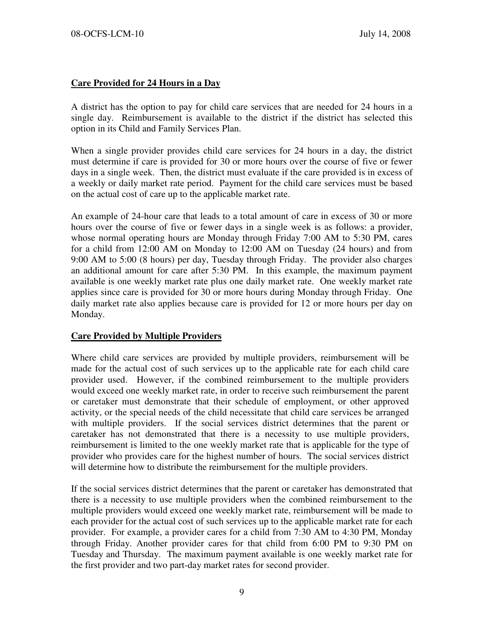## Care Provided for 24 Hours in a Day

A district has the option to pay for child care services that are needed for 24 hours in a single day. Reimbursement is available to the district if the district has selected this option in its Child and Family Services Plan.

When a single provider provides child care services for 24 hours in a day, the district must determine if care is provided for 30 or more hours over the course of five or fewer days in a single week. Then, the district must evaluate if the care provided is in excess of a weekly or daily market rate period. Payment for the child care services must be based on the actual cost of care up to the applicable market rate.

An example of 24-hour care that leads to a total amount of care in excess of 30 or more hours over the course of five or fewer days in a single week is as follows: a provider, whose normal operating hours are Monday through Friday 7:00 AM to 5:30 PM, cares for a child from 12:00 AM on Monday to 12:00 AM on Tuesday (24 hours) and from 9:00 AM to 5:00 (8 hours) per day, Tuesday through Friday. The provider also charges an additional amount for care after 5:30 PM. In this example, the maximum payment available is one weekly market rate plus one daily market rate. One weekly market rate applies since care is provided for 30 or more hours during Monday through Friday. One daily market rate also applies because care is provided for 12 or more hours per day on Monday.

## Care Provided by Multiple Providers

Where child care services are provided by multiple providers, reimbursement will be made for the actual cost of such services up to the applicable rate for each child care provider used. However, if the combined reimbursement to the multiple providers would exceed one weekly market rate, in order to receive such reimbursement the parent or caretaker must demonstrate that their schedule of employment, or other approved activity, or the special needs of the child necessitate that child care services be arranged with multiple providers. If the social services district determines that the parent or caretaker has not demonstrated that there is a necessity to use multiple providers, reimbursement is limited to the one weekly market rate that is applicable for the type of provider who provides care for the highest number of hours. The social services district will determine how to distribute the reimbursement for the multiple providers.

If the social services district determines that the parent or caretaker has demonstrated that there is a necessity to use multiple providers when the combined reimbursement to the multiple providers would exceed one weekly market rate, reimbursement will be made to each provider for the actual cost of such services up to the applicable market rate for each provider. For example, a provider cares for a child from 7:30 AM to 4:30 PM, Monday through Friday. Another provider cares for that child from 6:00 PM to 9:30 PM on Tuesday and Thursday. The maximum payment available is one weekly market rate for the first provider and two part-day market rates for second provider.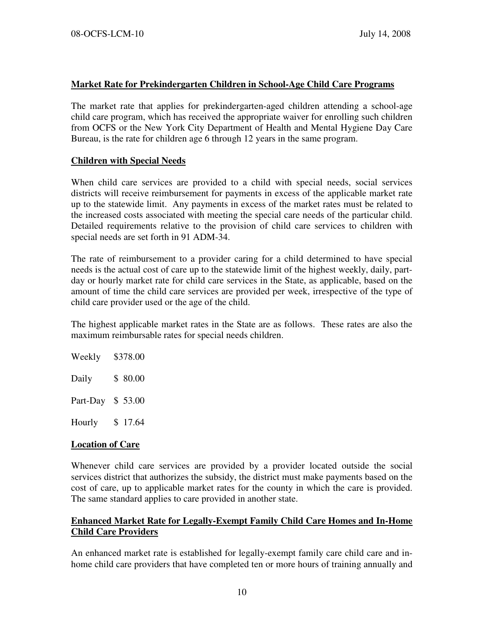#### Market Rate for Prekindergarten Children in School-Age Child Care Programs

 The market rate that applies for prekindergarten-aged children attending a school-age child care program, which has received the appropriate waiver for enrolling such children from OCFS or the New York City Department of Health and Mental Hygiene Day Care Bureau, is the rate for children age 6 through 12 years in the same program.

#### Children with Special Needs

 When child care services are provided to a child with special needs, social services districts will receive reimbursement for payments in excess of the applicable market rate up to the statewide limit. Any payments in excess of the market rates must be related to the increased costs associated with meeting the special care needs of the particular child. Detailed requirements relative to the provision of child care services to children with special needs are set forth in 91 ADM-34.

The rate of reimbursement to a provider caring for a child determined to have special needs is the actual cost of care up to the statewide limit of the highest weekly, daily, partday or hourly market rate for child care services in the State, as applicable, based on the amount of time the child care services are provided per week, irrespective of the type of child care provider used or the age of the child.

 The highest applicable market rates in the State are as follows. These rates are also the maximum reimbursable rates for special needs children.

| Weekly            | \$378.00 |
|-------------------|----------|
| Daily             | \$80.00  |
| Part-Day \$ 53.00 |          |
| Hourly            | \$17.64  |

#### Location of Care

Whenever child care services are provided by a provider located outside the social services district that authorizes the subsidy, the district must make payments based on the cost of care, up to applicable market rates for the county in which the care is provided. The same standard applies to care provided in another state.

#### Enhanced Market Rate for Legally-Exempt Family Child Care Homes and In-Home Child Care Providers

An enhanced market rate is established for legally-exempt family care child care and inhome child care providers that have completed ten or more hours of training annually and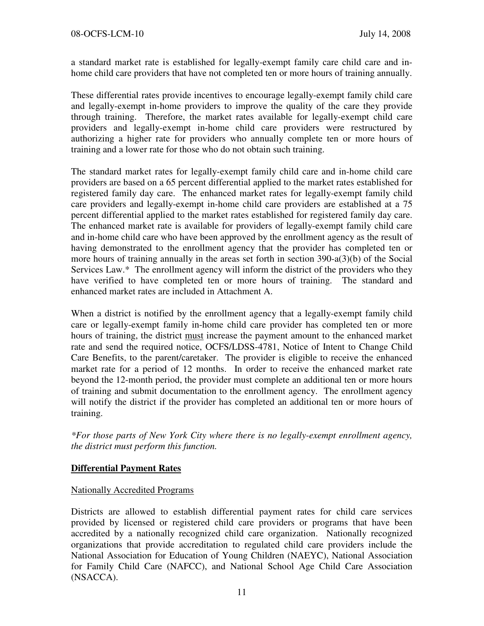a standard market rate is established for legally-exempt family care child care and inhome child care providers that have not completed ten or more hours of training annually.

These differential rates provide incentives to encourage legally-exempt family child care and legally-exempt in-home providers to improve the quality of the care they provide through training. Therefore, the market rates available for legally-exempt child care providers and legally-exempt in-home child care providers were restructured by authorizing a higher rate for providers who annually complete ten or more hours of training and a lower rate for those who do not obtain such training.

The standard market rates for legally-exempt family child care and in-home child care providers are based on a 65 percent differential applied to the market rates established for registered family day care. The enhanced market rates for legally-exempt family child care providers and legally-exempt in-home child care providers are established at a 75 percent differential applied to the market rates established for registered family day care. The enhanced market rate is available for providers of legally-exempt family child care and in-home child care who have been approved by the enrollment agency as the result of having demonstrated to the enrollment agency that the provider has completed ten or more hours of training annually in the areas set forth in section 390-a(3)(b) of the Social Services Law.\* The enrollment agency will inform the district of the providers who they have verified to have completed ten or more hours of training. The standard and enhanced market rates are included in Attachment A.

When a district is notified by the enrollment agency that a legally-exempt family child care or legally-exempt family in-home child care provider has completed ten or more hours of training, the district must increase the payment amount to the enhanced market rate and send the required notice, OCFS/LDSS-4781, Notice of Intent to Change Child Care Benefits, to the parent/caretaker. The provider is eligible to receive the enhanced market rate for a period of 12 months. In order to receive the enhanced market rate beyond the 12-month period, the provider must complete an additional ten or more hours of training and submit documentation to the enrollment agency. The enrollment agency will notify the district if the provider has completed an additional ten or more hours of training.

\*For those parts of New York City where there is no legally-exempt enrollment agency, the district must perform this function.

## Differential Payment Rates

#### Nationally Accredited Programs

Districts are allowed to establish differential payment rates for child care services provided by licensed or registered child care providers or programs that have been accredited by a nationally recognized child care organization. Nationally recognized organizations that provide accreditation to regulated child care providers include the National Association for Education of Young Children (NAEYC), National Association for Family Child Care (NAFCC), and National School Age Child Care Association (NSACCA).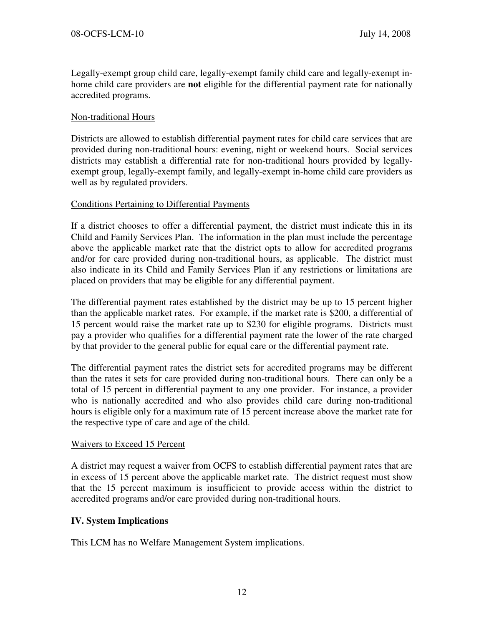Legally-exempt group child care, legally-exempt family child care and legally-exempt inhome child care providers are **not** eligible for the differential payment rate for nationally accredited programs.

#### Non-traditional Hours

Districts are allowed to establish differential payment rates for child care services that are provided during non-traditional hours: evening, night or weekend hours. Social services districts may establish a differential rate for non-traditional hours provided by legallyexempt group, legally-exempt family, and legally-exempt in-home child care providers as well as by regulated providers.

#### Conditions Pertaining to Differential Payments

If a district chooses to offer a differential payment, the district must indicate this in its Child and Family Services Plan. The information in the plan must include the percentage above the applicable market rate that the district opts to allow for accredited programs and/or for care provided during non-traditional hours, as applicable. The district must also indicate in its Child and Family Services Plan if any restrictions or limitations are placed on providers that may be eligible for any differential payment.

 The differential payment rates established by the district may be up to 15 percent higher than the applicable market rates. For example, if the market rate is \$200, a differential of 15 percent would raise the market rate up to \$230 for eligible programs. Districts must pay a provider who qualifies for a differential payment rate the lower of the rate charged by that provider to the general public for equal care or the differential payment rate.

 The differential payment rates the district sets for accredited programs may be different than the rates it sets for care provided during non-traditional hours. There can only be a total of 15 percent in differential payment to any one provider. For instance, a provider who is nationally accredited and who also provides child care during non-traditional hours is eligible only for a maximum rate of 15 percent increase above the market rate for the respective type of care and age of the child.

#### Waivers to Exceed 15 Percent

A district may request a waiver from OCFS to establish differential payment rates that are in excess of 15 percent above the applicable market rate. The district request must show that the 15 percent maximum is insufficient to provide access within the district to accredited programs and/or care provided during non-traditional hours.

#### IV. System Implications

This LCM has no Welfare Management System implications.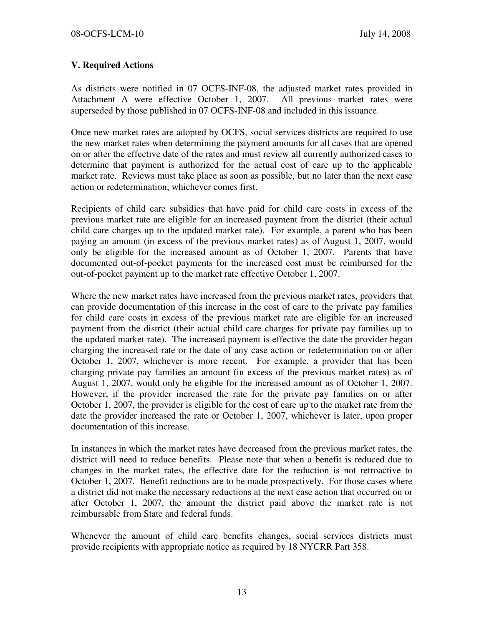## V. Required Actions

As districts were notified in 07 OCFS-INF-08, the adjusted market rates provided in Attachment A were effective October 1, 2007. All previous market rates were superseded by those published in 07 OCFS-INF-08 and included in this issuance.

Once new market rates are adopted by OCFS, social services districts are required to use the new market rates when determining the payment amounts for all cases that are opened on or after the effective date of the rates and must review all currently authorized cases to determine that payment is authorized for the actual cost of care up to the applicable market rate. Reviews must take place as soon as possible, but no later than the next case action or redetermination, whichever comes first.

Recipients of child care subsidies that have paid for child care costs in excess of the previous market rate are eligible for an increased payment from the district (their actual child care charges up to the updated market rate). For example, a parent who has been paying an amount (in excess of the previous market rates) as of August 1, 2007, would only be eligible for the increased amount as of October 1, 2007. Parents that have documented out-of-pocket payments for the increased cost must be reimbursed for the out-of-pocket payment up to the market rate effective October 1, 2007.

Where the new market rates have increased from the previous market rates, providers that can provide documentation of this increase in the cost of care to the private pay families for child care costs in excess of the previous market rate are eligible for an increased payment from the district (their actual child care charges for private pay families up to the updated market rate). The increased payment is effective the date the provider began charging the increased rate or the date of any case action or redetermination on or after October 1, 2007, whichever is more recent. For example, a provider that has been charging private pay families an amount (in excess of the previous market rates) as of August 1, 2007, would only be eligible for the increased amount as of October 1, 2007. However, if the provider increased the rate for the private pay families on or after October 1, 2007, the provider is eligible for the cost of care up to the market rate from the date the provider increased the rate or October 1, 2007, whichever is later, upon proper documentation of this increase.

In instances in which the market rates have decreased from the previous market rates, the district will need to reduce benefits. Please note that when a benefit is reduced due to changes in the market rates, the effective date for the reduction is not retroactive to October 1, 2007. Benefit reductions are to be made prospectively. For those cases where a district did not make the necessary reductions at the next case action that occurred on or after October 1, 2007, the amount the district paid above the market rate is not reimbursable from State and federal funds.

Whenever the amount of child care benefits changes, social services districts must provide recipients with appropriate notice as required by 18 NYCRR Part 358.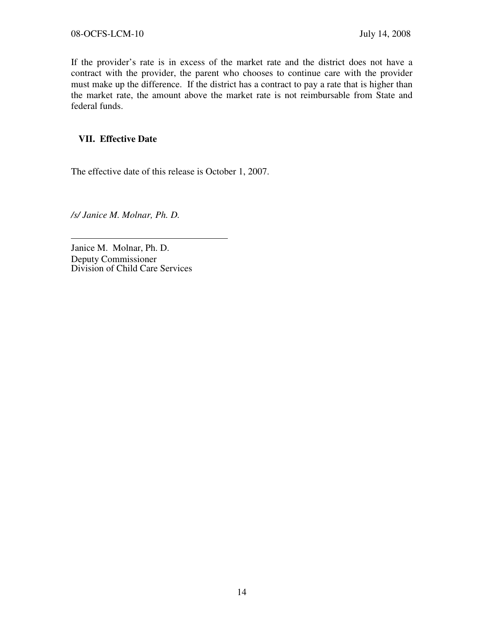If the provider's rate is in excess of the market rate and the district does not have a contract with the provider, the parent who chooses to continue care with the provider must make up the difference. If the district has a contract to pay a rate that is higher than the market rate, the amount above the market rate is not reimbursable from State and federal funds.

## VII. Effective Date

The effective date of this release is October 1, 2007.

/s/ Janice M. Molnar, Ph. D.

Janice M. Molnar, Ph. D. Deputy Commissioner Division of Child Care Services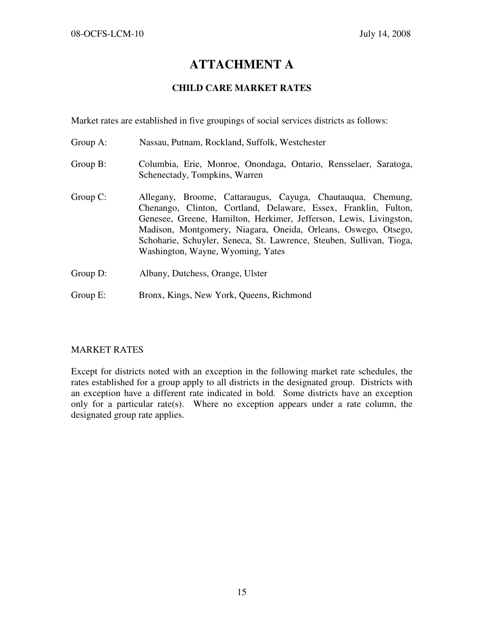# ATTACHMENT A

## CHILD CARE MARKET RATES

Market rates are established in five groupings of social services districts as follows:

| Group A:    | Nassau, Putnam, Rockland, Suffolk, Westchester                                                                                                                                                                                                                                                                                                                                      |  |  |  |  |
|-------------|-------------------------------------------------------------------------------------------------------------------------------------------------------------------------------------------------------------------------------------------------------------------------------------------------------------------------------------------------------------------------------------|--|--|--|--|
| Group B:    | Columbia, Erie, Monroe, Onondaga, Ontario, Rensselaer, Saratoga,<br>Schenectady, Tompkins, Warren                                                                                                                                                                                                                                                                                   |  |  |  |  |
| Group $C$ : | Allegany, Broome, Cattaraugus, Cayuga, Chautauqua, Chemung,<br>Chenango, Clinton, Cortland, Delaware, Essex, Franklin, Fulton,<br>Genesee, Greene, Hamilton, Herkimer, Jefferson, Lewis, Livingston,<br>Madison, Montgomery, Niagara, Oneida, Orleans, Oswego, Otsego,<br>Schoharie, Schuyler, Seneca, St. Lawrence, Steuben, Sullivan, Tioga,<br>Washington, Wayne, Wyoming, Yates |  |  |  |  |
| Group D:    | Albany, Dutchess, Orange, Ulster                                                                                                                                                                                                                                                                                                                                                    |  |  |  |  |
| Group E:    | Bronx, Kings, New York, Queens, Richmond                                                                                                                                                                                                                                                                                                                                            |  |  |  |  |

## MARKET RATES

Except for districts noted with an exception in the following market rate schedules, the rates established for a group apply to all districts in the designated group. Districts with an exception have a different rate indicated in bold. Some districts have an exception only for a particular rate(s). Where no exception appears under a rate column, the designated group rate applies.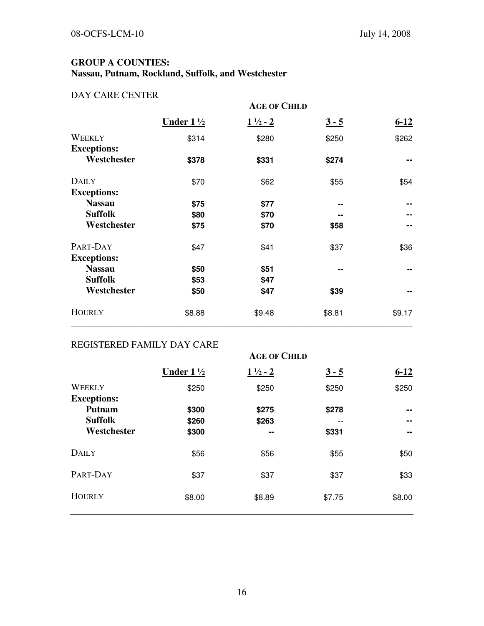## GROUP A COUNTIES: Nassau, Putnam, Rockland, Suffolk, and Westchester

## DAY CARE CENTER

|                              | <b>AGE OF CHILD</b>          |                    |         |          |  |
|------------------------------|------------------------------|--------------------|---------|----------|--|
|                              | <b>Under 1</b> $\frac{1}{2}$ | $1\frac{1}{2} - 2$ | $3 - 5$ | $6 - 12$ |  |
| WEEKLY<br><b>Exceptions:</b> | \$314                        | \$280              | \$250   | \$262    |  |
| Westchester                  | \$378                        | \$331              | \$274   |          |  |
| <b>DAILY</b>                 | \$70                         | \$62               | \$55    | \$54     |  |
| <b>Exceptions:</b>           |                              |                    |         |          |  |
| <b>Nassau</b>                | \$75                         | \$77               | --      |          |  |
| <b>Suffolk</b>               | \$80                         | \$70               |         |          |  |
| Westchester                  | \$75                         | \$70               | \$58    |          |  |
| PART-DAY                     | \$47                         | \$41               | \$37    | \$36     |  |
| <b>Exceptions:</b>           |                              |                    |         |          |  |
| <b>Nassau</b>                | \$50                         | \$51               | --      |          |  |
| <b>Suffolk</b>               | \$53                         | \$47               |         |          |  |
| Westchester                  | \$50                         | \$47               | \$39    |          |  |
| <b>HOURLY</b>                | \$8.88                       | \$9.48             | \$8.81  | \$9.17   |  |

# REGISTERED FAMILY DAY CARE

|                    | <b>AGE OF CHILD</b>  |                    |         |          |  |
|--------------------|----------------------|--------------------|---------|----------|--|
|                    | Under $1\frac{1}{2}$ | $1\frac{1}{2} - 2$ | $3 - 5$ | $6 - 12$ |  |
| <b>WEEKLY</b>      | \$250                | \$250              | \$250   | \$250    |  |
| <b>Exceptions:</b> |                      |                    |         |          |  |
| <b>Putnam</b>      | \$300                | \$275              | \$278   | $- -$    |  |
| <b>Suffolk</b>     | \$260                | \$263              | $ -$    | --       |  |
| Westchester        | \$300                | --                 | \$331   | $\sim$   |  |
| <b>DAILY</b>       | \$56                 | \$56               | \$55    | \$50     |  |
| PART-DAY           | \$37                 | \$37               | \$37    | \$33     |  |
| <b>HOURLY</b>      | \$8.00               | \$8.89             | \$7.75  | \$8.00   |  |
|                    |                      |                    |         |          |  |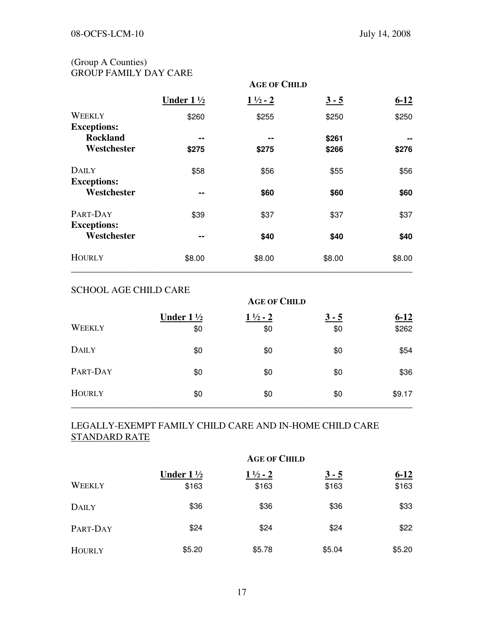## (Group A Counties) GROUP FAMILY DAY CARE

|                                    | <b>AGE OF CHILD</b>  |                    |                |          |  |
|------------------------------------|----------------------|--------------------|----------------|----------|--|
|                                    | Under $1\frac{1}{2}$ | $1\frac{1}{2} - 2$ | $3 - 5$        | $6 - 12$ |  |
| WEEKLY<br><b>Exceptions:</b>       | \$260                | \$255              | \$250          | \$250    |  |
| <b>Rockland</b><br>Westchester     | --<br>\$275          | --<br>\$275        | \$261<br>\$266 | \$276    |  |
| <b>DAILY</b><br><b>Exceptions:</b> | \$58                 | \$56               | \$55           | \$56     |  |
| Westchester                        | --                   | \$60               | \$60           | \$60     |  |
| PART-DAY<br><b>Exceptions:</b>     | \$39                 | \$37               | \$37           | \$37     |  |
| Westchester                        | --                   | \$40               | \$40           | \$40     |  |
| <b>HOURLY</b>                      | \$8.00               | \$8.00             | \$8.00         | \$8.00   |  |

## SCHOOL AGE CHILD CARE

|               | <b>AGE OF CHILD</b>         |                           |                |                   |  |
|---------------|-----------------------------|---------------------------|----------------|-------------------|--|
| WEEKLY        | Under $1\frac{1}{2}$<br>\$0 | $1\frac{1}{2} - 2$<br>\$0 | $3 - 5$<br>\$0 | $6 - 12$<br>\$262 |  |
| <b>DAILY</b>  | \$0                         | \$0                       | \$0            | \$54              |  |
| PART-DAY      | \$0                         | \$0                       | \$0            | \$36              |  |
| <b>HOURLY</b> | \$0                         | \$0                       | \$0            | \$9.17            |  |

# LEGALLY-EXEMPT FAMILY CHILD CARE AND IN-HOME CHILD CARE STANDARD RATE

| WEEKLY        | Under $1\frac{1}{2}$<br>\$163 | $1\frac{1}{2} - 2$<br>\$163 | $3 - 5$<br>\$163 | $6 - 12$<br>\$163 |
|---------------|-------------------------------|-----------------------------|------------------|-------------------|
| <b>DAILY</b>  | \$36                          | \$36                        | \$36             | \$33              |
| PART-DAY      | \$24                          | \$24                        | \$24             | \$22              |
| <b>HOURLY</b> | \$5.20                        | \$5.78                      | \$5.04           | \$5.20            |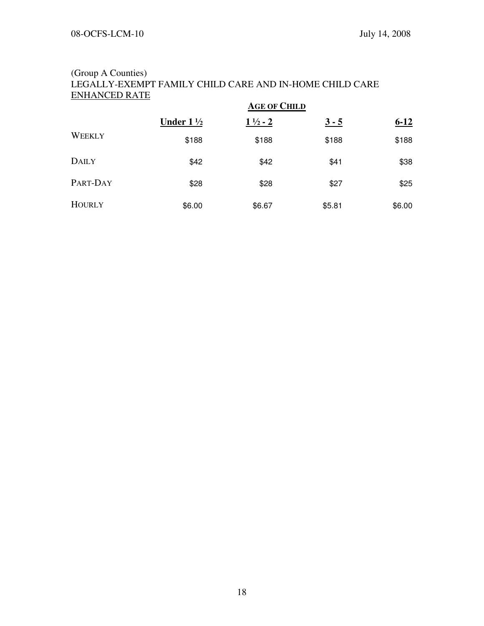#### (Group A Counties) LEGALLY-EXEMPT FAMILY CHILD CARE AND IN-HOME CHILD CARE ENHANCED RATE

|               |                      | <b>AGE OF CHILD</b> |         |          |  |  |
|---------------|----------------------|---------------------|---------|----------|--|--|
|               | Under $1\frac{1}{2}$ | $1\frac{1}{2} - 2$  | $3 - 5$ | $6 - 12$ |  |  |
| WEEKLY        | \$188                | \$188               | \$188   | \$188    |  |  |
| <b>DAILY</b>  | \$42                 | \$42                | \$41    | \$38     |  |  |
| PART-DAY      | \$28                 | \$28                | \$27    | \$25     |  |  |
| <b>HOURLY</b> | \$6.00               | \$6.67              | \$5.81  | \$6.00   |  |  |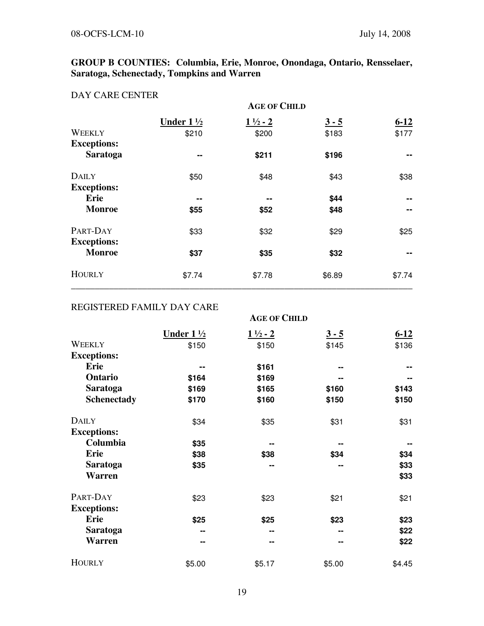# GROUP B COUNTIES: Columbia, Erie, Monroe, Onondaga, Ontario, Rensselaer, Saratoga, Schenectady, Tompkins and Warren

#### DAY CARE CENTER

|                                     | <b>AGE OF CHILD</b>  |                    |         |          |  |
|-------------------------------------|----------------------|--------------------|---------|----------|--|
|                                     | Under $1\frac{1}{2}$ | $1\frac{1}{2} - 2$ | $3 - 5$ | $6 - 12$ |  |
| <b>WEEKLY</b><br><b>Exceptions:</b> | \$210                | \$200              | \$183   | \$177    |  |
| <b>Saratoga</b>                     | --                   | \$211              | \$196   |          |  |
| <b>DAILY</b><br><b>Exceptions:</b>  | \$50                 | \$48               | \$43    | \$38     |  |
| Erie                                | --                   | --                 | \$44    | --       |  |
| <b>Monroe</b>                       | \$55                 | \$52               | \$48    | --       |  |
| PART-DAY                            | \$33                 | \$32               | \$29    | \$25     |  |
| <b>Exceptions:</b><br><b>Monroe</b> | \$37                 | \$35               | \$32    | --       |  |
| <b>HOURLY</b>                       | \$7.74               | \$7.78             | \$6.89  | \$7.74   |  |

## REGISTERED FAMILY DAY CARE

|                    | <b>AGE OF CHILD</b>  |                    |         |          |
|--------------------|----------------------|--------------------|---------|----------|
|                    | Under $1\frac{1}{2}$ | $1\frac{1}{2}$ - 2 | $3 - 5$ | $6 - 12$ |
| WEEKLY             | \$150                | \$150              | \$145   | \$136    |
| <b>Exceptions:</b> |                      |                    |         |          |
| Erie               |                      | \$161              | --      |          |
| Ontario            | \$164                | \$169              |         |          |
| <b>Saratoga</b>    | \$169                | \$165              | \$160   | \$143    |
| <b>Schenectady</b> | \$170                | \$160              | \$150   | \$150    |
| <b>DAILY</b>       | \$34                 | \$35               | \$31    | \$31     |
| <b>Exceptions:</b> |                      |                    |         |          |
| Columbia           | \$35                 |                    |         |          |
| <b>Erie</b>        | \$38                 | \$38               | \$34    | \$34     |
| <b>Saratoga</b>    | \$35                 |                    |         | \$33     |
| <b>Warren</b>      |                      |                    |         | \$33     |
| PART-DAY           | \$23                 | \$23               | \$21    | \$21     |
| <b>Exceptions:</b> |                      |                    |         |          |
| <b>Erie</b>        | \$25                 | \$25               | \$23    | \$23     |
| <b>Saratoga</b>    |                      | --                 |         | \$22     |
| <b>Warren</b>      |                      |                    |         | \$22     |
| <b>HOURLY</b>      | \$5.00               | \$5.17             | \$5.00  | \$4.45   |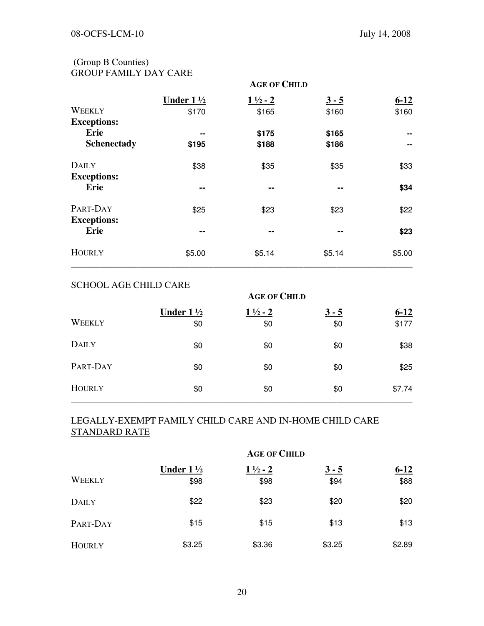## (Group B Counties) GROUP FAMILY DAY CARE

|                    | <b>AGE OF CHILD</b>  |                    |         |          |  |
|--------------------|----------------------|--------------------|---------|----------|--|
|                    | Under $1\frac{1}{2}$ | $1\frac{1}{2} - 2$ | $3 - 5$ | $6 - 12$ |  |
| WEEKLY             | \$170                | \$165              | \$160   | \$160    |  |
| <b>Exceptions:</b> |                      |                    |         |          |  |
| Erie               | --                   | \$175              | \$165   | --       |  |
| <b>Schenectady</b> | \$195                | \$188              | \$186   |          |  |
| <b>DAILY</b>       | \$38                 | \$35               | \$35    | \$33     |  |
| <b>Exceptions:</b> |                      |                    |         |          |  |
| Erie               |                      |                    |         | \$34     |  |
| PART-DAY           | \$25                 | \$23               | \$23    | \$22     |  |
| <b>Exceptions:</b> |                      |                    |         |          |  |
| <b>Erie</b>        |                      |                    | --      | \$23     |  |
| <b>HOURLY</b>      | \$5.00               | \$5.14             | \$5.14  | \$5.00   |  |

#### SCHOOL AGE CHILD CARE

|               | <b>AGE OF CHILD</b>         |                           |                |                   |
|---------------|-----------------------------|---------------------------|----------------|-------------------|
| <b>WEEKLY</b> | Under $1\frac{1}{2}$<br>\$0 | $1\frac{1}{2} - 2$<br>\$0 | $3 - 5$<br>\$0 | $6 - 12$<br>\$177 |
| <b>DAILY</b>  | \$0                         | \$0                       | \$0            | \$38              |
| PART-DAY      | \$0                         | \$0                       | \$0            | \$25              |
| <b>HOURLY</b> | \$0                         | \$0                       | \$0            | \$7.74            |

# LEGALLY-EXEMPT FAMILY CHILD CARE AND IN-HOME CHILD CARE STANDARD RATE

|               | <b>AGE OF CHILD</b>          |                            |                 |                  |
|---------------|------------------------------|----------------------------|-----------------|------------------|
| <b>WEEKLY</b> | Under $1\frac{1}{2}$<br>\$98 | $1\frac{1}{2} - 2$<br>\$98 | $3 - 5$<br>\$94 | $6 - 12$<br>\$88 |
| <b>DAILY</b>  | \$22                         | \$23                       | \$20            | \$20             |
| PART-DAY      | \$15                         | \$15                       | \$13            | \$13             |
| <b>HOURLY</b> | \$3.25                       | \$3.36                     | \$3.25          | \$2.89           |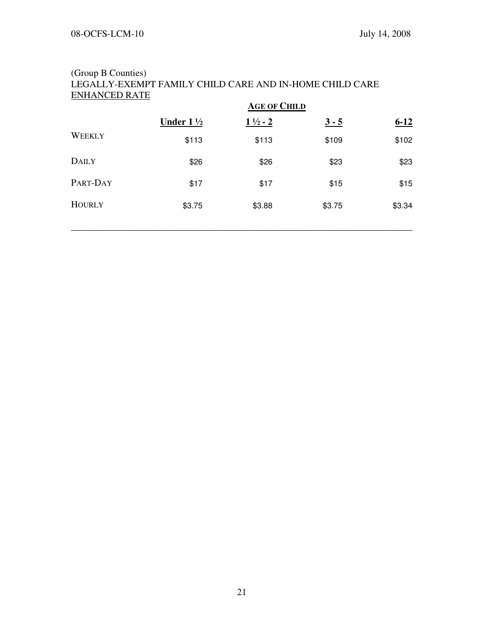#### (Group B Counties) LEGALLY-EXEMPT FAMILY CHILD CARE AND IN-HOME CHILD CARE ENHANCED RATE

| <b>AGE OF CHILD</b>  |                    |         |          |
|----------------------|--------------------|---------|----------|
| Under $1\frac{1}{2}$ | $1\frac{1}{2} - 2$ | $3 - 5$ | $6 - 12$ |
| \$113                | \$113              | \$109   | \$102    |
| \$26                 | \$26               | \$23    | \$23     |
| \$17                 | \$17               | \$15    | \$15     |
| \$3.75               | \$3.88             | \$3.75  | \$3.34   |
|                      |                    |         |          |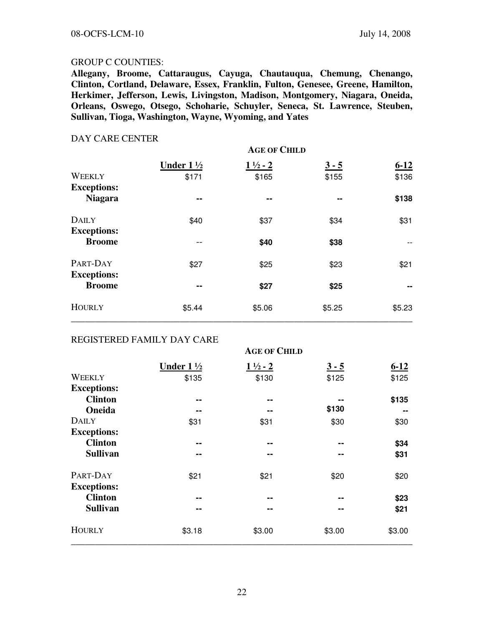#### GROUP C COUNTIES:

Allegany, Broome, Cattaraugus, Cayuga, Chautauqua, Chemung, Chenango, Clinton, Cortland, Delaware, Essex, Franklin, Fulton, Genesee, Greene, Hamilton, Herkimer, Jefferson, Lewis, Livingston, Madison, Montgomery, Niagara, Oneida, Orleans, Oswego, Otsego, Schoharie, Schuyler, Seneca, St. Lawrence, Steuben, Sullivan, Tioga, Washington, Wayne, Wyoming, and Yates

#### DAY CARE CENTER

|                                    | <b>AGE OF CHILD</b>           |                             |                  |                   |
|------------------------------------|-------------------------------|-----------------------------|------------------|-------------------|
| WEEKLY<br><b>Exceptions:</b>       | Under $1\frac{1}{2}$<br>\$171 | $1\frac{1}{2}$ - 2<br>\$165 | $3 - 5$<br>\$155 | $6 - 12$<br>\$136 |
| <b>Niagara</b>                     | --                            | --                          | --               | \$138             |
| <b>DAILY</b><br><b>Exceptions:</b> | \$40                          | \$37                        | \$34             | \$31              |
| <b>Broome</b>                      |                               | \$40                        | \$38             |                   |
| PART-DAY<br><b>Exceptions:</b>     | \$27                          | \$25                        | \$23             | \$21              |
| <b>Broome</b>                      | --                            | \$27                        | \$25             | $\sim$            |
| <b>HOURLY</b>                      | \$5.44                        | \$5.06                      | \$5.25           | \$5.23            |

#### REGISTERED FAMILY DAY CARE

|                    | <b>AGE OF CHILD</b>  |                    |         |          |
|--------------------|----------------------|--------------------|---------|----------|
|                    | Under $1\frac{1}{2}$ | $1\frac{1}{2} - 2$ | $3 - 5$ | $6 - 12$ |
| WEEKLY             | \$135                | \$130              | \$125   | \$125    |
| <b>Exceptions:</b> |                      |                    |         |          |
| <b>Clinton</b>     | --                   | --                 |         | \$135    |
| Oneida             |                      | --                 | \$130   | --       |
| <b>DAILY</b>       | \$31                 | \$31               | \$30    | \$30     |
| <b>Exceptions:</b> |                      |                    |         |          |
| <b>Clinton</b>     | --                   | --                 | --      | \$34     |
| <b>Sullivan</b>    | --                   | --                 | --      | \$31     |
| PART-DAY           | \$21                 | \$21               | \$20    | \$20     |
| <b>Exceptions:</b> |                      |                    |         |          |
| <b>Clinton</b>     | --                   | --                 | --      | \$23     |
| <b>Sullivan</b>    | --                   | --                 | --      | \$21     |
| <b>HOURLY</b>      | \$3.18               | \$3.00             | \$3.00  | \$3.00   |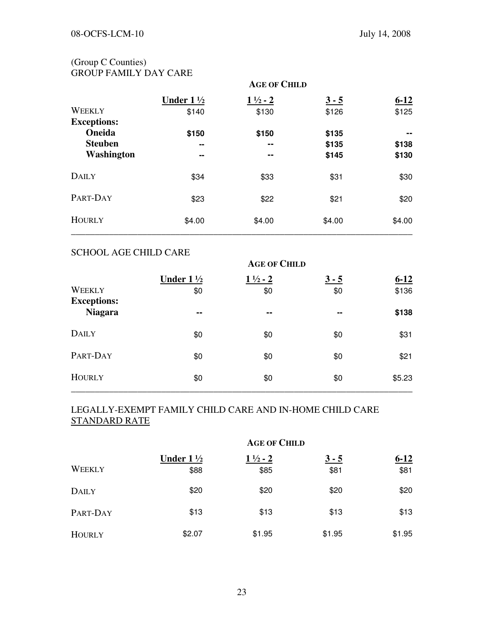## (Group C Counties) GROUP FAMILY DAY CARE

|                    | <b>AGE OF CHILD</b>  |                    |         |          |
|--------------------|----------------------|--------------------|---------|----------|
|                    | Under $1\frac{1}{2}$ | $1\frac{1}{2} - 2$ | $3 - 5$ | $6 - 12$ |
| <b>WEEKLY</b>      | \$140                | \$130              | \$126   | \$125    |
| <b>Exceptions:</b> |                      |                    |         |          |
| Oneida             | \$150                | \$150              | \$135   | --       |
| <b>Steuben</b>     | --                   | --                 | \$135   | \$138    |
| Washington         | --                   | --                 | \$145   | \$130    |
| <b>DAILY</b>       | \$34                 | \$33               | \$31    | \$30     |
| PART-DAY           | \$23                 | \$22               | \$21    | \$20     |
| <b>HOURLY</b>      | \$4.00               | \$4.00             | \$4.00  | \$4.00   |

## SCHOOL AGE CHILD CARE

|                                     |                             |                           | <b>AGE OF CHILD</b> |                   |
|-------------------------------------|-----------------------------|---------------------------|---------------------|-------------------|
| <b>WEEKLY</b><br><b>Exceptions:</b> | Under $1\frac{1}{2}$<br>\$0 | $1\frac{1}{2} - 2$<br>\$0 | $3 - 5$<br>\$0      | $6 - 12$<br>\$136 |
| <b>Niagara</b>                      | $\blacksquare$              | $- -$                     | --                  | \$138             |
| <b>DAILY</b>                        | \$0                         | \$0                       | \$0                 | \$31              |
| PART-DAY                            | \$0                         | \$0                       | \$0                 | \$21              |
| <b>HOURLY</b>                       | \$0                         | \$0                       | \$0                 | \$5.23            |

## LEGALLY-EXEMPT FAMILY CHILD CARE AND IN-HOME CHILD CARE STANDARD RATE

|               | <b>AGE OF CHILD</b>  |                    |         |          |
|---------------|----------------------|--------------------|---------|----------|
|               | Under $1\frac{1}{2}$ | $1\frac{1}{2} - 2$ | $3 - 5$ | $6 - 12$ |
| <b>WEEKLY</b> | \$88                 | \$85               | \$81    | \$81     |
| <b>DAILY</b>  | \$20                 | \$20               | \$20    | \$20     |
| PART-DAY      | \$13                 | \$13               | \$13    | \$13     |
| <b>HOURLY</b> | \$2.07               | \$1.95             | \$1.95  | \$1.95   |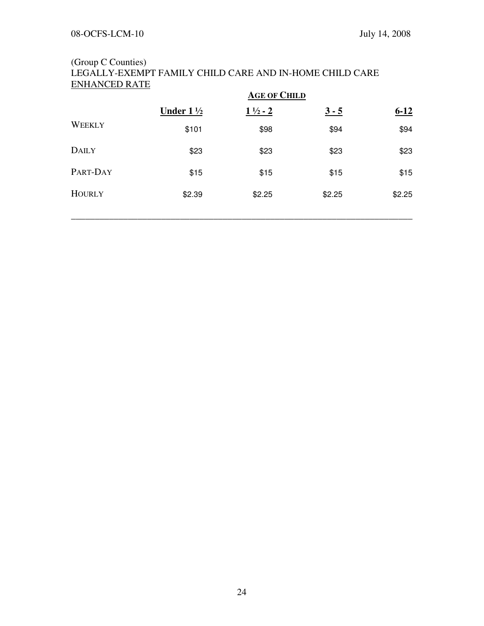## (Group C Counties) LEGALLY-EXEMPT FAMILY CHILD CARE AND IN-HOME CHILD CARE ENHANCED RATE

|               | <b>AGE OF CHILD</b>         |                    |         |          |
|---------------|-----------------------------|--------------------|---------|----------|
|               | <b>Under</b> $1\frac{1}{2}$ | $1\frac{1}{2} - 2$ | $3 - 5$ | $6 - 12$ |
| WEEKLY        | \$101                       | \$98               | \$94    | \$94     |
| <b>DAILY</b>  | \$23                        | \$23               | \$23    | \$23     |
| PART-DAY      | \$15                        | \$15               | \$15    | \$15     |
| <b>HOURLY</b> | \$2.39                      | \$2.25             | \$2.25  | \$2.25   |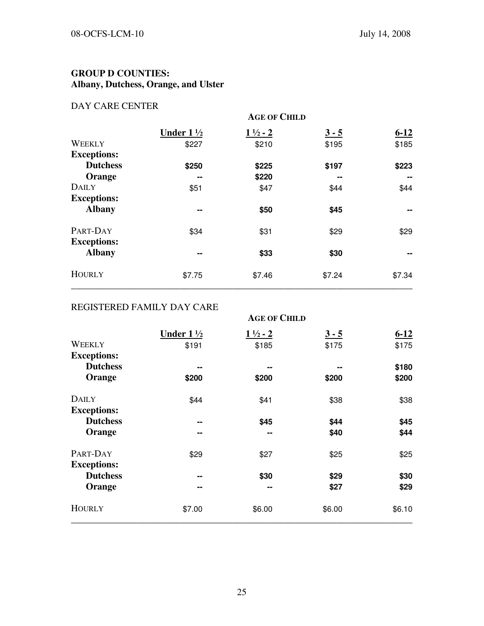# GROUP D COUNTIES: Albany, Dutchess, Orange, and Ulster

# DAY CARE CENTER

|                                     | <b>AGE OF CHILD</b>  |                    |         |          |
|-------------------------------------|----------------------|--------------------|---------|----------|
|                                     | Under $1\frac{1}{2}$ | $1\frac{1}{2}$ - 2 | $3 - 5$ | $6 - 12$ |
| <b>WEEKLY</b>                       | \$227                | \$210              | \$195   | \$185    |
| <b>Exceptions:</b>                  |                      |                    |         |          |
| <b>Dutchess</b>                     | \$250                | \$225              | \$197   | \$223    |
| Orange                              | --                   | \$220              | --      | --       |
| <b>DAILY</b>                        | \$51                 | \$47               | \$44    | \$44     |
| <b>Exceptions:</b>                  |                      |                    |         |          |
| <b>Albany</b>                       | --                   | \$50               | \$45    | --       |
| PART-DAY                            | \$34                 | \$31               | \$29    | \$29     |
| <b>Exceptions:</b><br><b>Albany</b> | --                   | \$33               | \$30    | --       |
| <b>HOURLY</b>                       | \$7.75               | \$7.46             | \$7.24  | \$7.34   |

# REGISTERED FAMILY DAY CARE

| <b>AGE OF CHILD</b>  |                    |         |          |  |
|----------------------|--------------------|---------|----------|--|
| Under $1\frac{1}{2}$ | $1\frac{1}{2} - 2$ | $3 - 5$ | $6 - 12$ |  |
| \$191                | \$185              | \$175   | \$175    |  |
|                      |                    |         |          |  |
| --                   | --                 | --      | \$180    |  |
| \$200                | \$200              | \$200   | \$200    |  |
| \$44                 | \$41               | \$38    | \$38     |  |
|                      |                    |         |          |  |
| --                   | \$45               | \$44    | \$45     |  |
| --                   | --                 | \$40    | \$44     |  |
| \$29                 | \$27               | \$25    | \$25     |  |
|                      |                    |         |          |  |
| --                   | \$30               | \$29    | \$30     |  |
| --                   | --                 | \$27    | \$29     |  |
| \$7.00               | \$6.00             | \$6.00  | \$6.10   |  |
|                      |                    |         |          |  |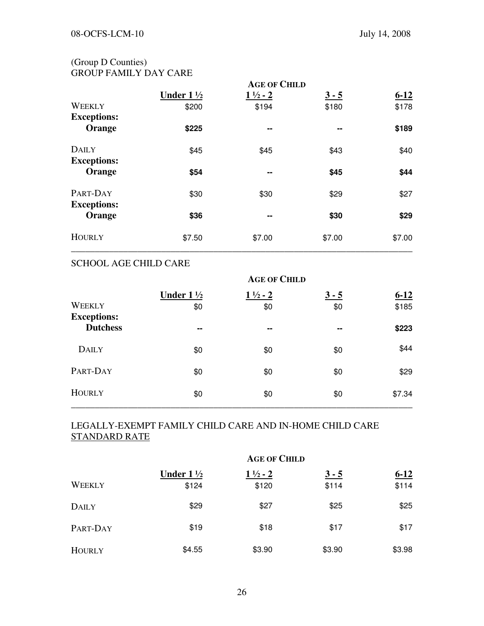## (Group D Counties) GROUP FAMILY DAY CARE

|                    | <b>AGE OF CHILD</b>  |                    |         |          |
|--------------------|----------------------|--------------------|---------|----------|
|                    | Under $1\frac{1}{2}$ | $1\frac{1}{2}$ - 2 | $3 - 5$ | $6 - 12$ |
| WEEKLY             | \$200                | \$194              | \$180   | \$178    |
| <b>Exceptions:</b> |                      |                    |         |          |
| Orange             | \$225                | --                 | --      | \$189    |
| <b>DAILY</b>       | \$45                 | \$45               | \$43    | \$40     |
| <b>Exceptions:</b> |                      |                    |         |          |
| Orange             | \$54                 | --                 | \$45    | \$44     |
| PART-DAY           | \$30                 | \$30               | \$29    | \$27     |
| <b>Exceptions:</b> |                      |                    |         |          |
| Orange             | \$36                 | --                 | \$30    | \$29     |
| <b>HOURLY</b>      | \$7.50               | \$7.00             | \$7.00  | \$7.00   |

# SCHOOL AGE CHILD CARE

|                                     | <b>AGE OF CHILD</b>         |                           |                |                   |
|-------------------------------------|-----------------------------|---------------------------|----------------|-------------------|
| <b>WEEKLY</b><br><b>Exceptions:</b> | Under $1\frac{1}{2}$<br>\$0 | $1\frac{1}{2} - 2$<br>\$0 | $3 - 5$<br>\$0 | $6 - 12$<br>\$185 |
| <b>Dutchess</b>                     | --                          | $\overline{\phantom{a}}$  | --             | \$223             |
| <b>DAILY</b>                        | \$0                         | \$0                       | \$0            | \$44              |
| PART-DAY                            | \$0                         | \$0                       | \$0            | \$29              |
| <b>HOURLY</b>                       | \$0                         | \$0                       | \$0            | \$7.34            |

# LEGALLY-EXEMPT FAMILY CHILD CARE AND IN-HOME CHILD CARE STANDARD RATE

|               |                               | <b>AGE OF CHILD</b>         |                  |                   |
|---------------|-------------------------------|-----------------------------|------------------|-------------------|
| <b>WEEKLY</b> | Under $1\frac{1}{2}$<br>\$124 | $1\frac{1}{2} - 2$<br>\$120 | $3 - 5$<br>\$114 | $6 - 12$<br>\$114 |
| <b>DAILY</b>  | \$29                          | \$27                        | \$25             | \$25              |
| PART-DAY      | \$19                          | \$18                        | \$17             | \$17              |
| <b>HOURLY</b> | \$4.55                        | \$3.90                      | \$3.90           | \$3.98            |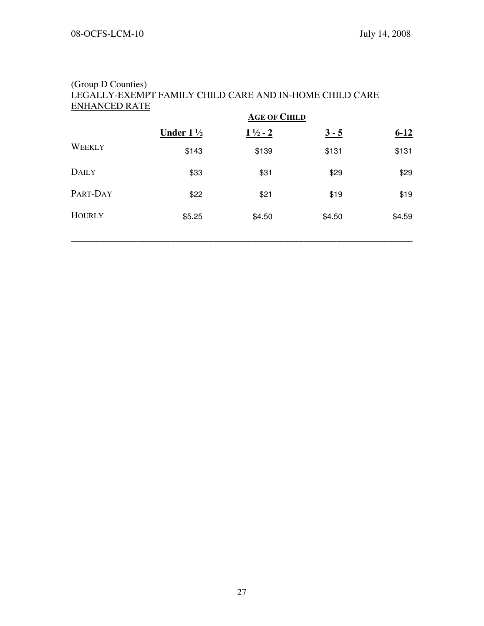## (Group D Counties) LEGALLY-EXEMPT FAMILY CHILD CARE AND IN-HOME CHILD CARE ENHANCED RATE

|               | <b>AGE OF CHILD</b>  |                    |         |          |
|---------------|----------------------|--------------------|---------|----------|
|               | Under $1\frac{1}{2}$ | $1\frac{1}{2} - 2$ | $3 - 5$ | $6 - 12$ |
| WEEKLY        | \$143                | \$139              | \$131   | \$131    |
| <b>DAILY</b>  | \$33                 | \$31               | \$29    | \$29     |
| PART-DAY      | \$22                 | \$21               | \$19    | \$19     |
| <b>HOURLY</b> | \$5.25               | \$4.50             | \$4.50  | \$4.59   |
|               |                      |                    |         |          |

\_\_\_\_\_\_\_\_\_\_\_\_\_\_\_\_\_\_\_\_\_\_\_\_\_\_\_\_\_\_\_\_\_\_\_\_\_\_\_\_\_\_\_\_\_\_\_\_\_\_\_\_\_\_\_\_\_\_\_\_\_\_\_\_\_\_\_\_\_\_\_\_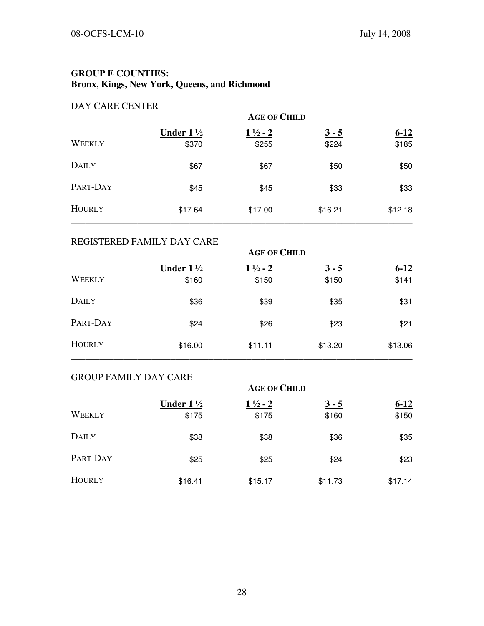## GROUP E COUNTIES: Bronx, Kings, New York, Queens, and Richmond

# DAY CARE CENTER

|               | <b>AGE OF CHILD</b>           |                             |                  |                   |
|---------------|-------------------------------|-----------------------------|------------------|-------------------|
| WEEKLY        | Under $1\frac{1}{2}$<br>\$370 | $1\frac{1}{2}$ - 2<br>\$255 | $3 - 5$<br>\$224 | $6 - 12$<br>\$185 |
| <b>DAILY</b>  | \$67                          | \$67                        | \$50             | \$50              |
| PART-DAY      | \$45                          | \$45                        | \$33             | \$33              |
| <b>HOURLY</b> | \$17.64                       | \$17.00                     | \$16.21          | \$12.18           |

## REGISTERED FAMILY DAY CARE

|               | <b>AGE OF CHILD</b>           |                             |                  |                   |
|---------------|-------------------------------|-----------------------------|------------------|-------------------|
| WEEKLY        | Under $1\frac{1}{2}$<br>\$160 | $1\frac{1}{2}$ - 2<br>\$150 | $3 - 5$<br>\$150 | $6 - 12$<br>\$141 |
| <b>DAILY</b>  | \$36                          | \$39                        | \$35             | \$31              |
| PART-DAY      | \$24                          | \$26                        | \$23             | \$21              |
| <b>HOURLY</b> | \$16.00                       | \$11.11                     | \$13.20          | \$13.06           |

## GROUP FAMILY DAY CARE

|               | <b>AGE OF CHILD</b>           |                             |                  |                   |
|---------------|-------------------------------|-----------------------------|------------------|-------------------|
| WEEKLY        | Under $1\frac{1}{2}$<br>\$175 | $1\frac{1}{2} - 2$<br>\$175 | $3 - 5$<br>\$160 | $6 - 12$<br>\$150 |
| <b>DAILY</b>  | \$38                          | \$38                        | \$36             | \$35              |
| PART-DAY      | \$25                          | \$25                        | \$24             | \$23              |
| <b>HOURLY</b> | \$16.41                       | \$15.17                     | \$11.73          | \$17.14           |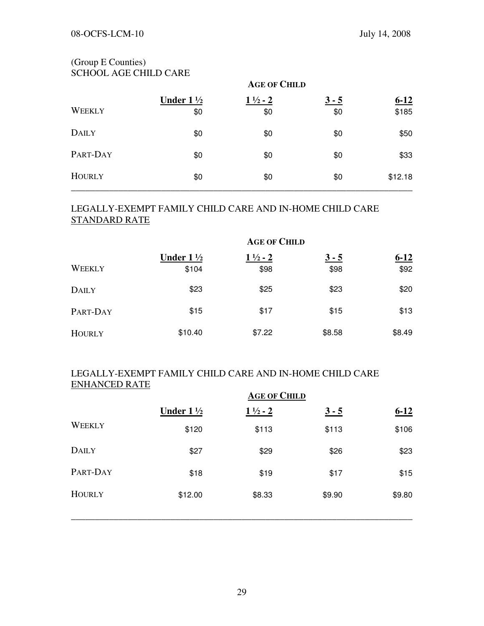# (Group E Counties) SCHOOL AGE CHILD CARE

|               | <b>AGE OF CHILD</b>         |                           |                |                   |
|---------------|-----------------------------|---------------------------|----------------|-------------------|
| <b>WEEKLY</b> | Under $1\frac{1}{2}$<br>\$0 | $1\frac{1}{2} - 2$<br>\$0 | $3 - 5$<br>\$0 | $6 - 12$<br>\$185 |
| <b>DAILY</b>  | \$0                         | \$0                       | \$0            | \$50              |
| PART-DAY      | \$0                         | \$0                       | \$0            | \$33              |
| <b>HOURLY</b> | \$0                         | \$0                       | \$0            | \$12.18           |

# LEGALLY-EXEMPT FAMILY CHILD CARE AND IN-HOME CHILD CARE STANDARD RATE

|               |                               | <b>AGE OF CHILD</b>        |                 |                  |
|---------------|-------------------------------|----------------------------|-----------------|------------------|
| WEEKLY        | Under $1\frac{1}{2}$<br>\$104 | $1\frac{1}{2} - 2$<br>\$98 | $3 - 5$<br>\$98 | $6 - 12$<br>\$92 |
| <b>DAILY</b>  | \$23                          | \$25                       | \$23            | \$20             |
| PART-DAY      | \$15                          | \$17                       | \$15            | \$13             |
| <b>HOURLY</b> | \$10.40                       | \$7.22                     | \$8.58          | \$8.49           |

## LEGALLY-EXEMPT FAMILY CHILD CARE AND IN-HOME CHILD CARE ENHANCED RATE

|               | <b>AGE OF CHILD</b>  |                    |         |          |
|---------------|----------------------|--------------------|---------|----------|
|               | Under $1\frac{1}{2}$ | $1\frac{1}{2} - 2$ | $3 - 5$ | $6 - 12$ |
| <b>WEEKLY</b> | \$120                | \$113              | \$113   | \$106    |
| <b>DAILY</b>  | \$27                 | \$29               | \$26    | \$23     |
| PART-DAY      | \$18                 | \$19               | \$17    | \$15     |
| <b>HOURLY</b> | \$12.00              | \$8.33             | \$9.90  | \$9.80   |